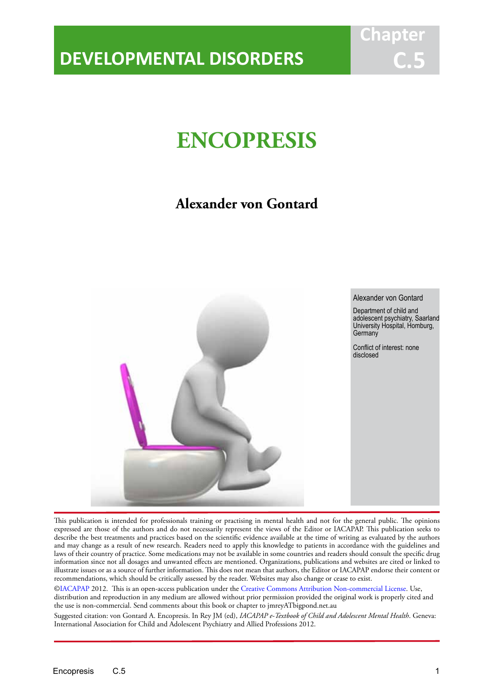## **DEVELOPMENTAL DISORDERS**

## **ENCOPRESIS**

IACAPAP Textbook of Child and Adolescent Mental Health

**Chapter**

**C.5**

## **Alexander von Gontard**



This publication is intended for professionals training or practising in mental health and not for the general public. The opinions expressed are those of the authors and do not necessarily represent the views of the Editor or IACAPAP. This publication seeks to describe the best treatments and practices based on the scientific evidence available at the time of writing as evaluated by the authors and may change as a result of new research. Readers need to apply this knowledge to patients in accordance with the guidelines and laws of their country of practice. Some medications may not be available in some countries and readers should consult the specific drug information since not all dosages and unwanted effects are mentioned. Organizations, publications and websites are cited or linked to illustrate issues or as a source of further information. This does not mean that authors, the Editor or IACAPAP endorse their content or recommendations, which should be critically assessed by the reader. Websites may also change or cease to exist.

[©IACAPAP](http://iacapap.org) 2012. This is an open-access publication under the [Creative Commons Attribution Non-commercial License](http://creativecommons.org). Use, distribution and reproduction in any medium are allowed without prior permission provided the original work is properly cited and the use is non-commercial. Send comments about this book or chapter to jmreyATbigpond.net.au

Suggested citation: von Gontard A. Encopresis. In Rey JM (ed), *IACAPAP e-Textbook of Child and Adolescent Mental Health*. Geneva: International Association for Child and Adolescent Psychiatry and Allied Professions 2012.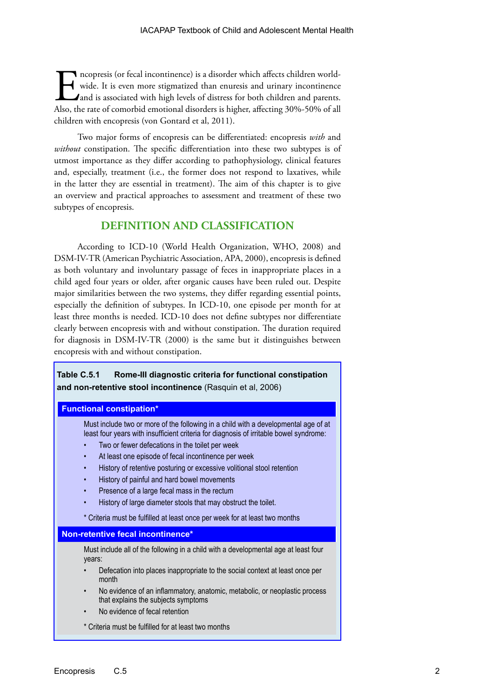Incopresis (or fecal incontinence) is a disorder which affects children world-<br>wide. It is even more stigmatized than enuresis and urinary incontinence<br>and is associated with high levels of distress for both children and p wide. It is even more stigmatized than enuresis and urinary incontinence A and is associated with high levels of distress for both children and parents. Also, the rate of comorbid emotional disorders is higher, affecting 30%-50% of all children with encopresis (von Gontard et al, 2011).

Two major forms of encopresis can be differentiated: encopresis *with* and *without* constipation. The specific differentiation into these two subtypes is of utmost importance as they differ according to pathophysiology, clinical features and, especially, treatment (i.e., the former does not respond to laxatives, while in the latter they are essential in treatment). The aim of this chapter is to give an overview and practical approaches to assessment and treatment of these two subtypes of encopresis.

#### **DEFINITION AND CLASSIFICATION**

According to ICD-10 (World Health Organization, WHO, 2008) and DSM-IV-TR (American Psychiatric Association, APA, 2000), encopresis is defined as both voluntary and involuntary passage of feces in inappropriate places in a child aged four years or older, after organic causes have been ruled out. Despite major similarities between the two systems, they differ regarding essential points, especially the definition of subtypes. In ICD-10, one episode per month for at least three months is needed. ICD-10 does not define subtypes nor differentiate clearly between encopresis with and without constipation. The duration required for diagnosis in DSM-IV-TR (2000) is the same but it distinguishes between encopresis with and without constipation.

#### **Table C.5.1 Rome-III diagnostic criteria for functional constipation and non-retentive stool incontinence** (Rasquin et al, 2006)

#### **Functional constipation\***

Must include two or more of the following in a child with a developmental age of at least four years with insufficient criteria for diagnosis of irritable bowel syndrome:

- Two or fewer defecations in the toilet per week
- At least one episode of fecal incontinence per week
- History of retentive posturing or excessive volitional stool retention
- History of painful and hard bowel movements
- Presence of a large fecal mass in the rectum
- History of large diameter stools that may obstruct the toilet.
- \* Criteria must be fulfilled at least once per week for at least two months

#### **Non-retentive fecal incontinence\***

Must include all of the following in a child with a developmental age at least four years:

- Defecation into places inappropriate to the social context at least once per month
- No evidence of an inflammatory, anatomic, metabolic, or neoplastic process that explains the subjects symptoms
- No evidence of fecal retention
- \* Criteria must be fulfilled for at least two months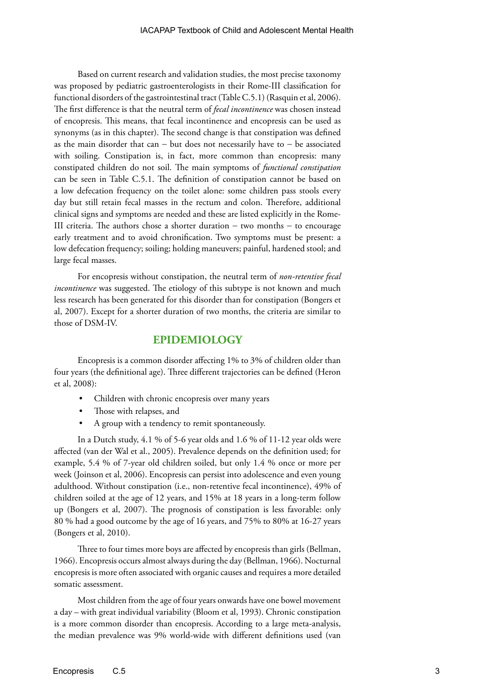Based on current research and validation studies, the most precise taxonomy was proposed by pediatric gastroenterologists in their Rome-III classification for functional disorders of the gastrointestinal tract (Table C.5.1) (Rasquin et al, 2006). The first difference is that the neutral term of *fecal incontinence* was chosen instead of encopresis. This means, that fecal incontinence and encopresis can be used as synonyms (as in this chapter). The second change is that constipation was defined as the main disorder that can − but does not necessarily have to − be associated with soiling. Constipation is, in fact, more common than encopresis: many constipated children do not soil. The main symptoms of *functional constipation*  can be seen in Table C.5.1. The definition of constipation cannot be based on a low defecation frequency on the toilet alone: some children pass stools every day but still retain fecal masses in the rectum and colon. Therefore, additional clinical signs and symptoms are needed and these are listed explicitly in the Rome-III criteria. The authors chose a shorter duration − two months − to encourage early treatment and to avoid chronification. Two symptoms must be present: a low defecation frequency; soiling; holding maneuvers; painful, hardened stool; and large fecal masses.

For encopresis without constipation, the neutral term of *non-retentive fecal incontinence* was suggested. The etiology of this subtype is not known and much less research has been generated for this disorder than for constipation (Bongers et al, 2007). Except for a shorter duration of two months, the criteria are similar to those of DSM-IV.

#### **EPIDEMIOLOGY**

Encopresis is a common disorder affecting 1% to 3% of children older than four years (the definitional age). Three different trajectories can be defined (Heron et al, 2008):

- Children with chronic encopresis over many years
- Those with relapses, and
- A group with a tendency to remit spontaneously.

In a Dutch study, 4.1 % of 5-6 year olds and 1.6 % of 11-12 year olds were affected (van der Wal et al., 2005). Prevalence depends on the definition used; for example, 5.4 % of 7-year old children soiled, but only 1.4 % once or more per week (Joinson et al, 2006). Encopresis can persist into adolescence and even young adulthood. Without constipation (i.e., non-retentive fecal incontinence), 49% of children soiled at the age of 12 years, and 15% at 18 years in a long-term follow up (Bongers et al, 2007). The prognosis of constipation is less favorable: only 80 % had a good outcome by the age of 16 years, and 75% to 80% at 16-27 years (Bongers et al, 2010).

Three to four times more boys are affected by encopresis than girls (Bellman, 1966). Encopresis occurs almost always during the day (Bellman, 1966). Nocturnal encopresis is more often associated with organic causes and requires a more detailed somatic assessment.

Most children from the age of four years onwards have one bowel movement a day – with great individual variability (Bloom et al, 1993). Chronic constipation is a more common disorder than encopresis. According to a large meta-analysis, the median prevalence was 9% world-wide with different definitions used (van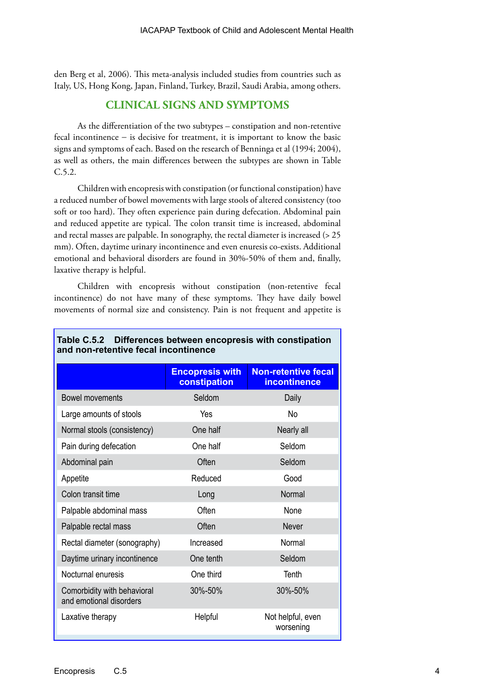den Berg et al, 2006). This meta-analysis included studies from countries such as Italy, US, Hong Kong, Japan, Finland, Turkey, Brazil, Saudi Arabia, among others.

#### **CLINICAL SIGNS AND SYMPTOMS**

As the differentiation of the two subtypes – constipation and non-retentive fecal incontinence − is decisive for treatment, it is important to know the basic signs and symptoms of each. Based on the research of Benninga et al (1994; 2004), as well as others, the main differences between the subtypes are shown in Table C.5.2.

Children with encopresis with constipation (or functional constipation) have a reduced number of bowel movements with large stools of altered consistency (too soft or too hard). They often experience pain during defecation. Abdominal pain and reduced appetite are typical. The colon transit time is increased, abdominal and rectal masses are palpable. In sonography, the rectal diameter is increased ( $> 25$ mm). Often, daytime urinary incontinence and even enuresis co-exists. Additional emotional and behavioral disorders are found in 30%-50% of them and, finally, laxative therapy is helpful.

Children with encopresis without constipation (non-retentive fecal incontinence) do not have many of these symptoms. They have daily bowel movements of normal size and consistency. Pain is not frequent and appetite is

| <b>Encopresis with</b><br>constipation | <b>Non-retentive fecal</b><br><b>incontinence</b> |
|----------------------------------------|---------------------------------------------------|
| Seldom                                 | Daily                                             |
| Yes                                    | No                                                |
| One half                               | Nearly all                                        |
| One half                               | Seldom                                            |
| Often                                  | Seldom                                            |
| Reduced                                | Good                                              |
| Long                                   | Normal                                            |
| Often                                  | <b>None</b>                                       |
| Often                                  | <b>Never</b>                                      |
| Increased                              | Normal                                            |
| One tenth                              | Seldom                                            |
| One third                              | Tenth                                             |
| 30%-50%                                | 30%-50%                                           |
| Helpful                                | Not helpful, even<br>worsening                    |
|                                        |                                                   |

#### **Table C.5.2 Differences between encopresis with constipation and non-retentive fecal incontinence**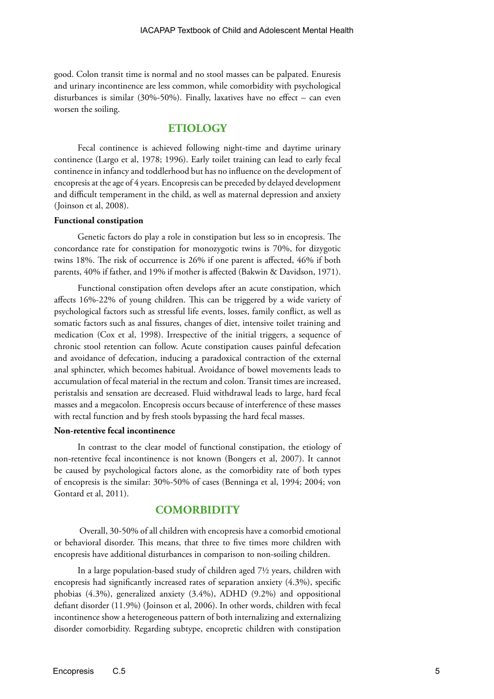good. Colon transit time is normal and no stool masses can be palpated. Enuresis and urinary incontinence are less common, while comorbidity with psychological disturbances is similar (30%-50%). Finally, laxatives have no effect – can even worsen the soiling.

#### **ETIOLOGY**

Fecal continence is achieved following night-time and daytime urinary continence (Largo et al, 1978; 1996). Early toilet training can lead to early fecal continence in infancy and toddlerhood but has no influence on the development of encopresis at the age of 4 years. Encopresis can be preceded by delayed development and difficult temperament in the child, as well as maternal depression and anxiety (Joinson et al, 2008).

#### **Functional constipation**

Genetic factors do play a role in constipation but less so in encopresis. The concordance rate for constipation for monozygotic twins is 70%, for dizygotic twins 18%. The risk of occurrence is 26% if one parent is affected, 46% if both parents, 40% if father, and 19% if mother is affected (Bakwin & Davidson, 1971).

Functional constipation often develops after an acute constipation, which affects 16%-22% of young children. This can be triggered by a wide variety of psychological factors such as stressful life events, losses, family conflict, as well as somatic factors such as anal fissures, changes of diet, intensive toilet training and medication (Cox et al, 1998). Irrespective of the initial triggers, a sequence of chronic stool retention can follow. Acute constipation causes painful defecation and avoidance of defecation, inducing a paradoxical contraction of the external anal sphincter, which becomes habitual. Avoidance of bowel movements leads to accumulation of fecal material in the rectum and colon. Transit times are increased, peristalsis and sensation are decreased. Fluid withdrawal leads to large, hard fecal masses and a megacolon. Encopresis occurs because of interference of these masses with rectal function and by fresh stools bypassing the hard fecal masses.

#### **Non-retentive fecal incontinence**

In contrast to the clear model of functional constipation, the etiology of non-retentive fecal incontinence is not known (Bongers et al, 2007). It cannot be caused by psychological factors alone, as the comorbidity rate of both types of encopresis is the similar: 30%-50% of cases (Benninga et al, 1994; 2004; von Gontard et al, 2011).

#### **COMORBIDITY**

 Overall, 30-50% of all children with encopresis have a comorbid emotional or behavioral disorder. This means, that three to five times more children with encopresis have additional disturbances in comparison to non-soiling children.

In a large population-based study of children aged 7½ years, children with encopresis had significantly increased rates of separation anxiety (4.3%), specific phobias (4.3%), generalized anxiety (3.4%), ADHD (9.2%) and oppositional defiant disorder (11.9%) (Joinson et al, 2006). In other words, children with fecal incontinence show a heterogeneous pattern of both internalizing and externalizing disorder comorbidity. Regarding subtype, encopretic children with constipation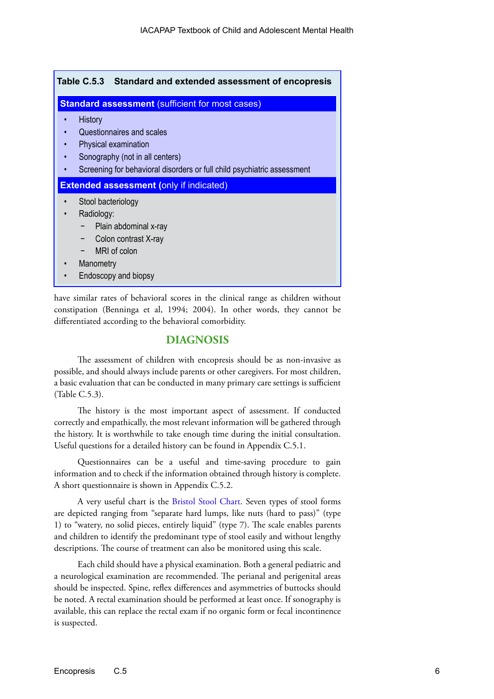| Table C.5.3 Standard and extended assessment of encopresis                                                                                                                                     |
|------------------------------------------------------------------------------------------------------------------------------------------------------------------------------------------------|
| <b>Standard assessment (sufficient for most cases)</b>                                                                                                                                         |
| <b>History</b><br>Questionnaires and scales<br>Physical examination<br>Sonography (not in all centers)<br>Screening for behavioral disorders or full child psychiatric assessment<br>$\bullet$ |
| <b>Extended assessment (only if indicated)</b>                                                                                                                                                 |
| Stool bacteriology<br>Radiology:<br>Plain abdominal x-ray<br>Colon contrast X-ray<br>$\overline{\phantom{a}}$<br>MRI of colon<br>$\overline{\phantom{a}}$<br>Manometry<br>Endoscopy and biopsy |

have similar rates of behavioral scores in the clinical range as children without constipation (Benninga et al, 1994; 2004). In other words, they cannot be differentiated according to the behavioral comorbidity.

#### **DIAGNOSIS**

The assessment of children with encopresis should be as non-invasive as possible, and should always include parents or other caregivers. For most children, a basic evaluation that can be conducted in many primary care settings is sufficient (Table C.5.3).

The history is the most important aspect of assessment. If conducted correctly and empathically, the most relevant information will be gathered through the history. It is worthwhile to take enough time during the initial consultation. Useful questions for a detailed history can be found in Appendix C.5.1.

Questionnaires can be a useful and time-saving procedure to gain information and to check if the information obtained through history is complete. A short questionnaire is shown in Appendix C.5.2.

A very useful chart is the [Bristol Stool Chart.](http://en.wikipedia.org/wiki/Bristol_Stool_Scale) Seven types of stool forms are depicted ranging from "separate hard lumps, like nuts (hard to pass)" (type 1) to "watery, no solid pieces, entirely liquid" (type 7). The scale enables parents and children to identify the predominant type of stool easily and without lengthy descriptions. The course of treatment can also be monitored using this scale.

Each child should have a physical examination. Both a general pediatric and a neurological examination are recommended. The perianal and perigenital areas should be inspected. Spine, reflex differences and asymmetries of buttocks should be noted. A rectal examination should be performed at least once. If sonography is available, this can replace the rectal exam if no organic form or fecal incontinence is suspected.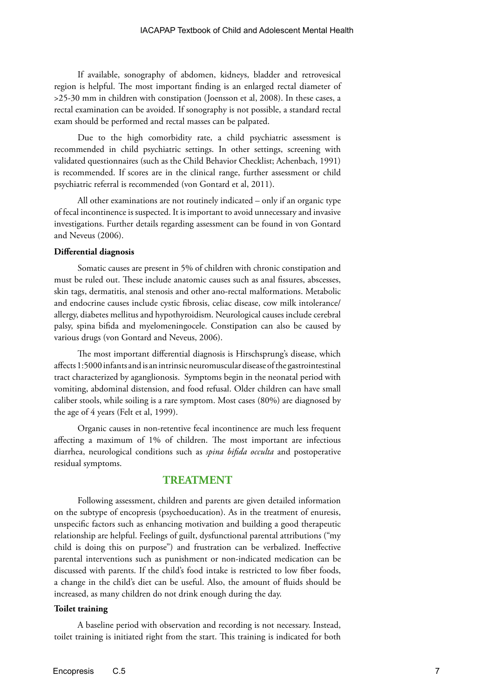If available, sonography of abdomen, kidneys, bladder and retrovesical region is helpful. The most important finding is an enlarged rectal diameter of >25-30 mm in children with constipation (Joensson et al, 2008). In these cases, a rectal examination can be avoided. If sonography is not possible, a standard rectal exam should be performed and rectal masses can be palpated.

Due to the high comorbidity rate, a child psychiatric assessment is recommended in child psychiatric settings. In other settings, screening with validated questionnaires (such as the Child Behavior Checklist; Achenbach, 1991) is recommended. If scores are in the clinical range, further assessment or child psychiatric referral is recommended (von Gontard et al, 2011).

All other examinations are not routinely indicated – only if an organic type of fecal incontinence is suspected. It is important to avoid unnecessary and invasive investigations. Further details regarding assessment can be found in von Gontard and Neveus (2006).

#### **Differential diagnosis**

Somatic causes are present in 5% of children with chronic constipation and must be ruled out. These include anatomic causes such as anal fissures, abscesses, skin tags, dermatitis, anal stenosis and other ano-rectal malformations. Metabolic and endocrine causes include cystic fibrosis, celiac disease, cow milk intolerance/ allergy, diabetes mellitus and hypothyroidism. Neurological causes include cerebral palsy, spina bifida and myelomeningocele. Constipation can also be caused by various drugs (von Gontard and Neveus, 2006).

The most important differential diagnosis is Hirschsprung's disease, which affects 1:5000 infants and is an intrinsic neuromuscular disease of the gastrointestinal tract characterized by aganglionosis. Symptoms begin in the neonatal period with vomiting, abdominal distension, and food refusal. Older children can have small caliber stools, while soiling is a rare symptom. Most cases (80%) are diagnosed by the age of 4 years (Felt et al, 1999).

Organic causes in non-retentive fecal incontinence are much less frequent affecting a maximum of 1% of children. The most important are infectious diarrhea, neurological conditions such as *spina bifida occulta* and postoperative residual symptoms.

#### **TREATMENT**

Following assessment, children and parents are given detailed information on the subtype of encopresis (psychoeducation). As in the treatment of enuresis, unspecific factors such as enhancing motivation and building a good therapeutic relationship are helpful. Feelings of guilt, dysfunctional parental attributions ("my child is doing this on purpose") and frustration can be verbalized. Ineffective parental interventions such as punishment or non-indicated medication can be discussed with parents. If the child's food intake is restricted to low fiber foods, a change in the child's diet can be useful. Also, the amount of fluids should be increased, as many children do not drink enough during the day.

#### **Toilet training**

A baseline period with observation and recording is not necessary. Instead, toilet training is initiated right from the start. This training is indicated for both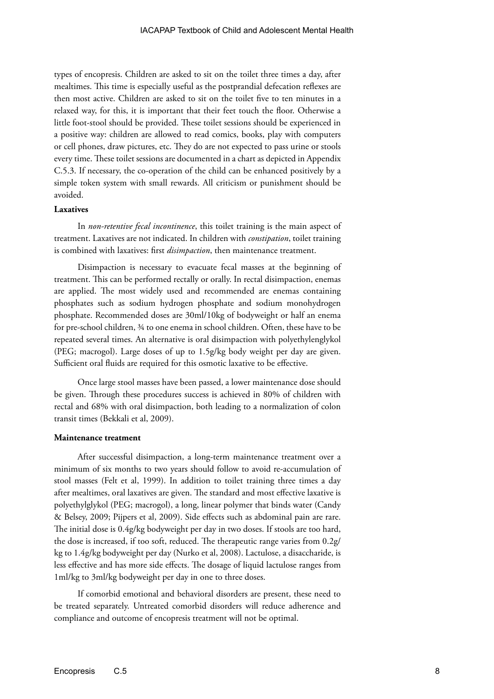types of encopresis. Children are asked to sit on the toilet three times a day, after mealtimes. This time is especially useful as the postprandial defecation reflexes are then most active. Children are asked to sit on the toilet five to ten minutes in a relaxed way, for this, it is important that their feet touch the floor. Otherwise a little foot-stool should be provided. These toilet sessions should be experienced in a positive way: children are allowed to read comics, books, play with computers or cell phones, draw pictures, etc. They do are not expected to pass urine or stools every time. These toilet sessions are documented in a chart as depicted in Appendix C.5.3. If necessary, the co-operation of the child can be enhanced positively by a simple token system with small rewards. All criticism or punishment should be avoided.

#### **Laxatives**

In *non-retentive fecal incontinence*, this toilet training is the main aspect of treatment. Laxatives are not indicated. In children with *constipation*, toilet training is combined with laxatives: first *disimpaction*, then maintenance treatment.

Disimpaction is necessary to evacuate fecal masses at the beginning of treatment. This can be performed rectally or orally. In rectal disimpaction, enemas are applied. The most widely used and recommended are enemas containing phosphates such as sodium hydrogen phosphate and sodium monohydrogen phosphate. Recommended doses are 30ml/10kg of bodyweight or half an enema for pre-school children, ¾ to one enema in school children. Often, these have to be repeated several times. An alternative is oral disimpaction with polyethylenglykol (PEG; macrogol). Large doses of up to 1.5g/kg body weight per day are given. Sufficient oral fluids are required for this osmotic laxative to be effective.

Once large stool masses have been passed, a lower maintenance dose should be given. Through these procedures success is achieved in 80% of children with rectal and 68% with oral disimpaction, both leading to a normalization of colon transit times (Bekkali et al, 2009).

#### **Maintenance treatment**

After successful disimpaction, a long-term maintenance treatment over a minimum of six months to two years should follow to avoid re-accumulation of stool masses (Felt et al, 1999). In addition to toilet training three times a day after mealtimes, oral laxatives are given. The standard and most effective laxative is polyethylglykol (PEG; macrogol), a long, linear polymer that binds water (Candy & Belsey, 2009; Pijpers et al, 2009). Side effects such as abdominal pain are rare. The initial dose is 0.4g/kg bodyweight per day in two doses. If stools are too hard, the dose is increased, if too soft, reduced. The therapeutic range varies from 0.2g/ kg to 1.4g/kg bodyweight per day (Nurko et al, 2008). Lactulose, a disaccharide, is less effective and has more side effects. The dosage of liquid lactulose ranges from 1ml/kg to 3ml/kg bodyweight per day in one to three doses.

If comorbid emotional and behavioral disorders are present, these need to be treated separately. Untreated comorbid disorders will reduce adherence and compliance and outcome of encopresis treatment will not be optimal.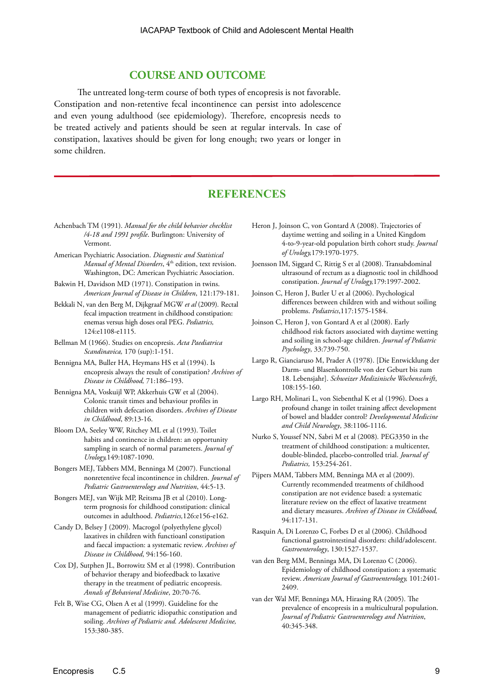#### **COURSE AND OUTCOME**

The untreated long-term course of both types of encopresis is not favorable. Constipation and non-retentive fecal incontinence can persist into adolescence and even young adulthood (see epidemiology). Therefore, encopresis needs to be treated actively and patients should be seen at regular intervals. In case of constipation, laxatives should be given for long enough; two years or longer in some children.

#### **REFERENCES**

- Achenbach TM (1991). *Manual for the child behavior checklist /4-18 and 1991 profile*. Burlington: University of Vermont.
- American Psychiatric Association. *Diagnostic and Statistical Manual of Mental Disorders*, 4<sup>th</sup> edition, text revision. Washington, DC: American Psychiatric Association.
- Bakwin H, Davidson MD (1971). Constipation in twins. *American Journal of Disease in Children*, 121:179-181.
- Bekkali N, van den Berg M, Dijkgraaf MGW *et al* (2009)*.* Rectal fecal impaction treatment in childhood constipation: enemas versus high doses oral PEG. *Pediatrics,*  124:e1108-e1115.
- Bellman M (1966). Studies on encopresis. *Acta Paediatrica Scandinavica,* 170 (sup):1-151.
- Bennigna MA, Buller HA, Heymans HS et al (1994). Is encopresis always the result of constipation? *Archives of Disease in Childhood,* 71:186–193.
- Bennigna MA, Voskuijl WP, Akkerhuis GW et al (2004). Colonic transit times and behaviour profiles in children with defecation disorders. *Archives of Disease in Childhood*, 89:13-16.
- Bloom DA, Seeley WW, Ritchey ML et al (1993). Toilet habits and continence in children: an opportunity sampling in search of normal parameters. *Journal of Urology,*149:1087-1090.
- Bongers MEJ, Tabbers MM, Benninga M (2007). Functional nonretentive fecal incontinence in children. *Journal of Pediatric Gastroenterology and Nutrition*, 44:5-13.
- Bongers MEJ, van Wijk MP, Reitsma JB et al (2010). Longterm prognosis for childhood constipation: clinical outcomes in adulthood. *Pediatrics,*126:e156-e162.
- Candy D, Belsey J (2009). Macrogol (polyethylene glycol) laxatives in children with functioanl constipation and faecal impaction: a systematic review. *Archives of Disease in Childhood*, 94:156-160.
- Cox DJ, Sutphen JL, Borrowitz SM et al (1998). Contribution of behavior therapy and biofeedback to laxative therapy in the treatment of pediatric encopresis. *Annals of Behavioral Medicine*, 20:70-76.
- Felt B, Wise CG, Olsen A et al (1999). Guideline for the management of pediatric idiopathic constipation and soiling. *Archives of Pediatric and. Adolescent Medicine,*  153:380-385.
- Heron J, Joinson C, von Gontard A (2008). Trajectories of daytime wetting and soiling in a United Kingdom 4-to-9-year-old population birth cohort study. *Journal of Urology,*179:1970-1975.
- Joensson IM, Siggard C, Rittig S et al (2008). Transabdominal ultrasound of rectum as a diagnostic tool in childhood constipation. *Journal of Urology,*179:1997-2002.
- Joinson C, Heron J, Butler U et al (2006). Psychological differences between children with and without soiling problems. *Pediatrics*,117:1575-1584.
- Joinson C, Heron J, von Gontard A et al (2008). Early childhood risk factors associated with daytime wetting and soiling in school-age children. *Journal of Pediatric Psychology*, 33:739-750.
- Largo R, Gianciaruso M, Prader A (1978). [Die Entwicklung der Darm- und Blasenkontrolle von der Geburt bis zum 18. Lebensjahr]. *Schweizer Medizinische Wochenschrift*, 108:155-160.
- Largo RH, Molinari L, von Siebenthal K et al (1996). Does a profound change in toilet training affect development of bowel and bladder control? *Developmental Medicine and Child Neurology*, 38:1106-1116.
- Nurko S, Youssef NN, Sabri M et al (2008)*.* PEG3350 in the treatment of childhood constipation: a multicenter, double-blinded, placebo-controlled trial. *Journal of Pediatrics,* 153:254-261.
- Pijpers MAM, Tabbers MM, Benninga MA et al (2009). Currently recommended treatments of childhood constipation are not evidence based: a systematic literature review on the effect of laxative treatment and dietary measures. *Archives of Disease in Childhood,*  94:117-131.
- Rasquin A, Di Lorenzo C, Forbes D et al (2006). Childhood functional gastrointestinal disorders: child/adolescent. *Gastroenterology*, 130:1527-1537.
- van den Berg MM, Benninga MA, Di Lorenzo C (2006). Epidemiology of childhood constipation: a systematic review. *American Journal of Gastroenterology,* 101:2401- 2409.
- van der Wal MF, Benninga MA, Hirasing RA (2005). The prevalence of encopresis in a multicultural population. *Journal of Pediatric Gastroenterology and Nutrition*, 40:345-348.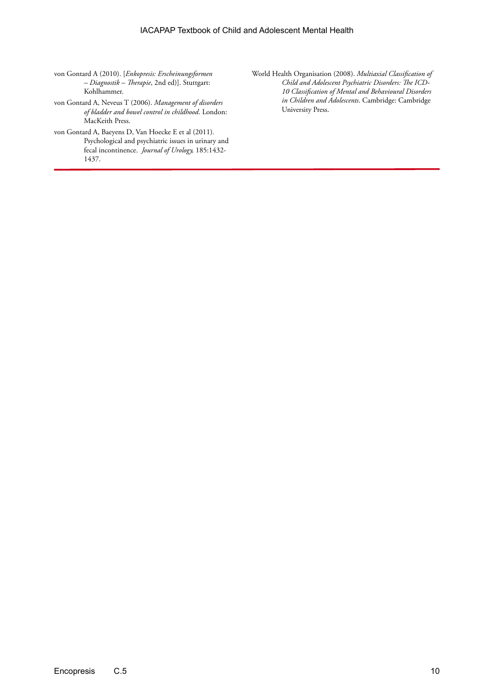- von Gontard A (2010). [*Enkopresis: Erscheinungsformen – Diagnostik – Therapie*, 2nd ed)]. Stuttgart: Kohlhammer.
- von Gontard A, Neveus T (2006). *Management of disorders of bladder and bowel control in childhood*. London: MacKeith Press.
- von Gontard A, Baeyens D, Van Hoecke E et al (2011)*.*  Psychological and psychiatric issues in urinary and fecal incontinence. *Journal of Urology,* 185:1432- 1437.
- World Health Organisation (2008). *Multiaxial Classification of Child and Adolescent Psychiatric Disorders: The ICD-10 Classification of Mental and Behavioural Disorders in Children and Adolescents*. Cambridge: Cambridge University Press.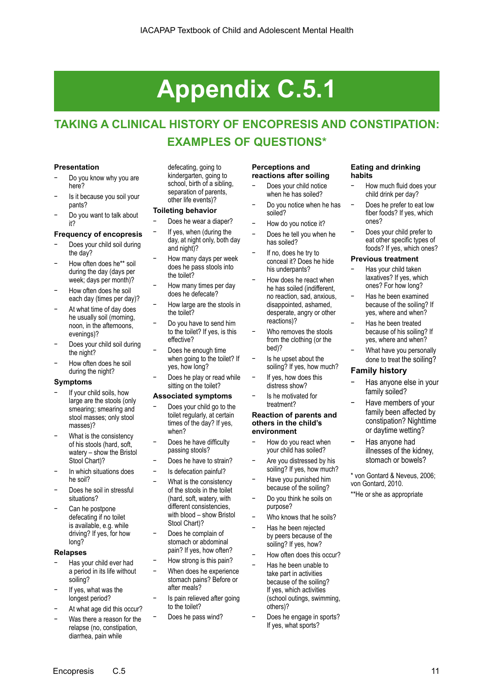# **Appendix C.5.1**

## **TAKING A CLINICAL HISTORY OF ENCOPRESIS AND CONSTIPATION: EXAMPLES OF QUESTIONS\***

#### **Presentation**

- Do you know why you are here?
- − Is it because you soil your pants?
- Do you want to talk about it?

#### **Frequency of encopresis**

- Does your child soil during the day?
- − How often does he\*\* soil during the day (days per week; days per month)?
- − How often does he soil each day (times per day)?
- At what time of day does he usually soil (morning, noon, in the afternoons, evenings)?
- Does your child soil during the night?
- − How often does he soil during the night?

#### **Symptoms**

- If your child soils, how large are the stools (only smearing; smearing and stool masses; only stool masses)?
- What is the consistency of his stools (hard, soft, watery – show the Bristol Stool Chart)?
- − In which situations does he soil?
- Does he soil in stressful situations?
- Can he postpone defecating if no toilet is available, e.g. while driving? If yes, for how long?

#### **Relapses**

- − Has your child ever had a period in its life without soiling?
- If yes, what was the longest period?
- At what age did this occur?
- Was there a reason for the relapse (no, constipation, diarrhea, pain while

defecating, going to kindergarten, going to school, birth of a sibling, separation of parents, other life events)?

#### **Toileting behavior**

- Does he wear a diaper?
	- If yes, when (during the day, at night only, both day and night)?
- − How many days per week does he pass stools into the toilet?
- − How many times per day does he defecate?
- How large are the stools in the toilet?
- Do you have to send him to the toilet? If yes, is this effective?
- Does he enough time when going to the toilet? If yes, how long?
- Does he play or read while sitting on the toilet?

#### **Associated symptoms**

- Does your child go to the toilet regularly, at certain times of the day? If yes, when?
- Does he have difficulty passing stools?
- Does he have to strain?
- Is defecation painful?
- What is the consistency of the stools in the toilet (hard, soft, watery, with different consistencies, with blood – show Bristol Stool Chart)?
- Does he complain of stomach or abdominal pain? If yes, how often?
- − How strong is this pain?
- When does he experience stomach pains? Before or after meals?
- Is pain relieved after going to the toilet?
- Does he pass wind?

#### **Perceptions and reactions after soiling**

- Does your child notice when he has soiled?
- Do you notice when he has soiled?
- − How do you notice it?
- Does he tell you when he has soiled?
- If no, does he try to conceal it? Does he hide his underpants?
	- − How does he react when he has soiled (indifferent, no reaction, sad, anxious, disappointed, ashamed, desperate, angry or other reactions)?
- Who removes the stools from the clothing (or the bed)?
- Is he upset about the soiling? If yes, how much?
- If yes, how does this distress show?
- − Is he motivated for treatment?

#### **Reaction of parents and others in the child's environment**

- − How do you react when your child has soiled?
- Are you distressed by his soiling? If yes, how much?
- − Have you punished him because of the soiling?
- Do you think he soils on purpose?
- Who knows that he soils?
- − Has he been rejected by peers because of the soiling? If yes, how?
- − How often does this occur?
- − Has he been unable to take part in activities because of the soiling? If yes, which activities (school outings, swimming, others)?
- Does he engage in sports? If yes, what sports?

#### **Eating and drinking habits**

- − How much fluid does your child drink per day?
- Does he prefer to eat low fiber foods? If yes, which ones?
- Does your child prefer to eat other specific types of foods? If yes, which ones?

#### **Previous treatment**

- − Has your child taken laxatives? If yes, which ones? For how long?
- − Has he been examined because of the soiling? If yes, where and when?
- − Has he been treated because of his soiling? If yes, where and when?
- − What have you personally done to treat the soiling?

#### **Family history**

- − Has anyone else in your family soiled?
- − Have members of your family been affected by constipation? Nighttime or daytime wetting?
- − Has anyone had illnesses of the kidney, stomach or bowels?

\* von Gontard & Neveus, 2006; von Gontard, 2010.

\*\*He or she as appropriate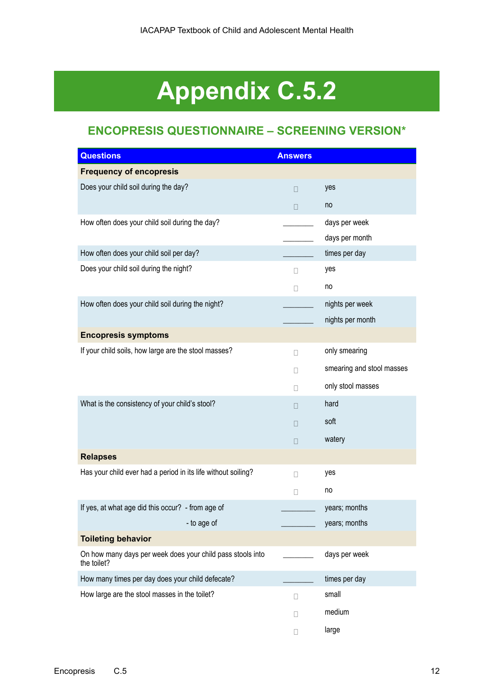# **Appendix C.5.2**

### **ENCOPRESIS QUESTIONNAIRE – SCREENING VERSION\***

| <b>Questions</b>                                                          | <b>Answers</b> |                           |
|---------------------------------------------------------------------------|----------------|---------------------------|
| <b>Frequency of encopresis</b>                                            |                |                           |
| Does your child soil during the day?                                      | П              | yes                       |
|                                                                           | $\Box$         | no                        |
| How often does your child soil during the day?                            |                | days per week             |
|                                                                           |                | days per month            |
| How often does your child soil per day?                                   |                | times per day             |
| Does your child soil during the night?                                    | $\mathbf{H}$   | yes                       |
|                                                                           | $\Box$         | no                        |
| How often does your child soil during the night?                          |                | nights per week           |
|                                                                           |                | nights per month          |
| <b>Encopresis symptoms</b>                                                |                |                           |
| If your child soils, how large are the stool masses?                      | П              | only smearing             |
|                                                                           | П              | smearing and stool masses |
|                                                                           | П              | only stool masses         |
| What is the consistency of your child's stool?                            | П              | hard                      |
|                                                                           | П              | soft                      |
|                                                                           | $\Box$         | watery                    |
| <b>Relapses</b>                                                           |                |                           |
| Has your child ever had a period in its life without soiling?             | П              | yes                       |
|                                                                           | П              | no                        |
| If yes, at what age did this occur? - from age of                         |                | years; months             |
| - to age of                                                               |                | years; months             |
| <b>Toileting behavior</b>                                                 |                |                           |
| On how many days per week does your child pass stools into<br>the toilet? |                | days per week             |
| How many times per day does your child defecate?                          |                | times per day             |
| How large are the stool masses in the toilet?                             | П              | small                     |
|                                                                           | O              | medium                    |
|                                                                           | П              | large                     |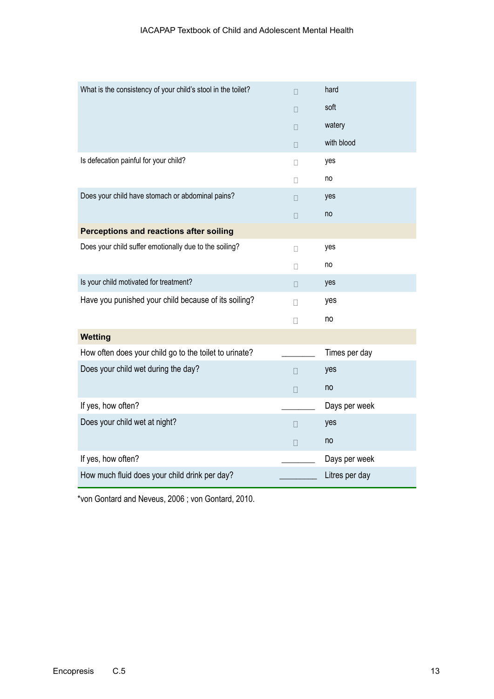| What is the consistency of your child's stool in the toilet? | П      | hard           |
|--------------------------------------------------------------|--------|----------------|
|                                                              | П      | soft           |
|                                                              | П      | watery         |
|                                                              | $\Box$ | with blood     |
| Is defecation painful for your child?                        | $\Box$ | yes            |
|                                                              | П      | no             |
| Does your child have stomach or abdominal pains?             | П      | yes            |
|                                                              | $\Box$ | no             |
| Perceptions and reactions after soiling                      |        |                |
| Does your child suffer emotionally due to the soiling?       | $\Box$ | yes            |
|                                                              | П      | no             |
| Is your child motivated for treatment?                       | П.     | yes            |
| Have you punished your child because of its soiling?         | $\Box$ | yes            |
|                                                              | $\Box$ | no             |
| <b>Wetting</b>                                               |        |                |
| How often does your child go to the toilet to urinate?       |        | Times per day  |
| Does your child wet during the day?                          | П      | yes            |
|                                                              | $\Box$ | no             |
| If yes, how often?                                           |        | Days per week  |
| Does your child wet at night?                                | П      | yes            |
|                                                              | $\Box$ | no             |
| If yes, how often?                                           |        | Days per week  |
| How much fluid does your child drink per day?                |        | Litres per day |

\*von Gontard and Neveus, 2006 ; von Gontard, 2010.